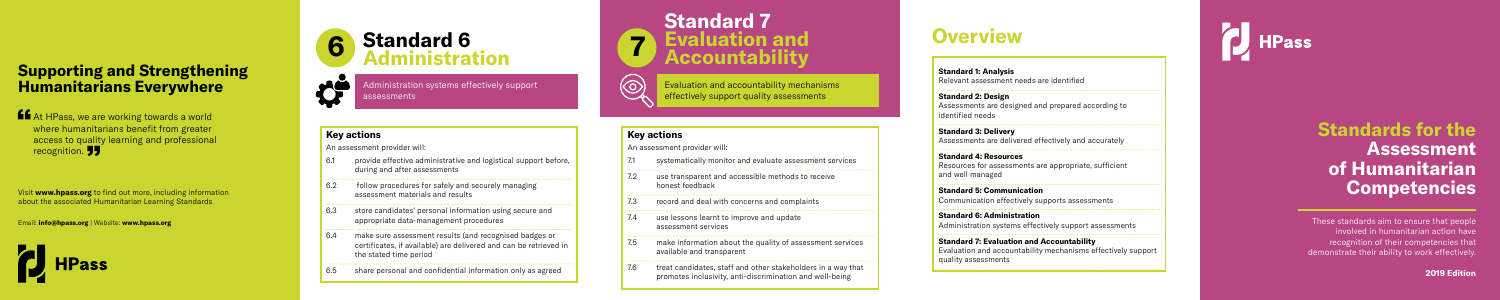# **Standards for the Assessment of Humanitarian Competencies**

These standards aim to ensure that people **involved in humanitarian action have.** recognition of their competencies that demonstrate their ability to work effectively.

**2019 Edition**

## **Key actions**

An assessment provider will:

ansparent and accessible methods to receive honest feedback

I and deal with concerns and complaints

ssons learnt to improve and update sment services

information about the quality of assessment services ble and transparent

- 6.1 provide effective administrative and logistical support before, during and after assessments
- 6.2 follow procedures for safely and securely managing assessment materials and results
- 6.3 store candidates' personal information using secure and appropriate data-management procedures
- 6.4 make sure assessment results (and recognised badges or certificates, if available) are delivered and can be retrieved in the stated time period
- 6.5 share personal and confidential information only as agreed

treat candidates, staff and other stakeholders in a way that promotes inclusivity, anti-discrimination and well-being

## **Key actions**

An assessment provider will:

| 7.1 | systen                        |
|-----|-------------------------------|
| 7.2 | use tra<br>hones <sup>.</sup> |
| 7.3 | record                        |
| 7.4 | use le:<br>assess             |
| 7.5 | make i<br>availal             |
|     |                               |

Visit **www.hpass.org** to find out more, including information **Proposition.**<br> **PP**<br>
Visit www.hpass.org to find out more, including informa<br>
about the associated Humanitarian Learning Standards



# **Standard 7 Evaluation and Accountability**

Evaluation and accountability mechanisms effectively support quality assessments

matically monitor and evaluate assessment services

## **6 Standard 6 Administration**



Administration systems effectively support assessments

## **Supporting and Strengthening Humanitarians Everywhere**

**At HPass, we are working towards a world<br>where humanitarians benefit from greater<br>access to quality learning and prefections** where humanitarians benefit from greater access to quality learning and professional recognition. **JJ** 

Email: **info@hpass.org** | Website: **www.hpass.org**



**Standard 1: Analysis**  Relevant assessment needs are identified

**Standard 2: Design** Assessments are designed and prepared according to identified needs

**Standard 3: Delivery** Assessments are delivered effectively and accurately

**Standard 4: Resources** Resources for assessments are appropriate, sufficient and well managed

**Standard 5: Communication** Communication effectively supports assessments

**Standard 6: Administration** Administration systems effectively support assessments

**Standard 7: Evaluation and Accountability** Evaluation and accountability mechanisms effectively support quality assessments



# **Overview**